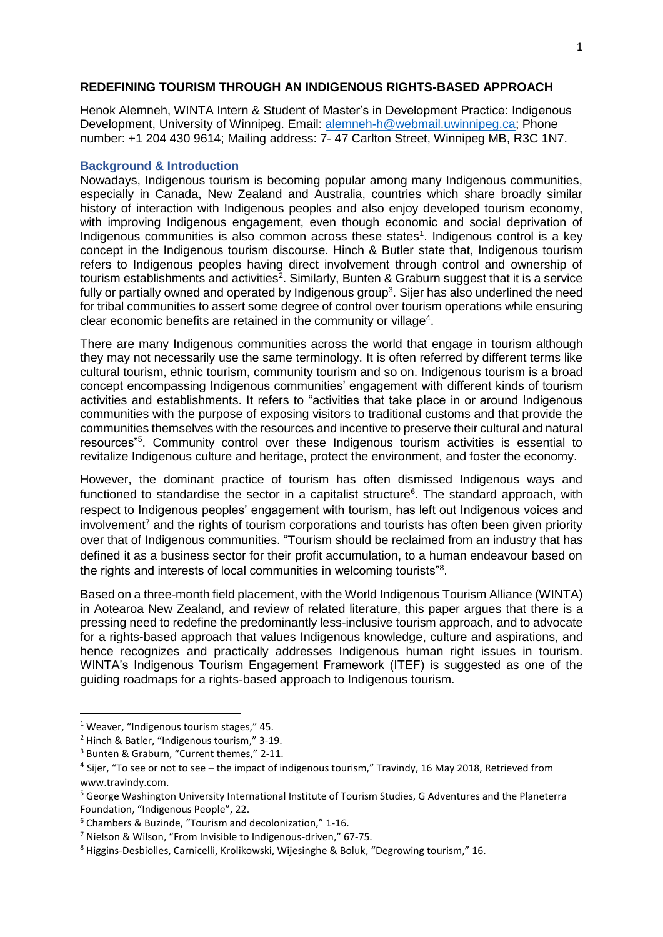### **REDEFINING TOURISM THROUGH AN INDIGENOUS RIGHTS-BASED APPROACH**

Henok Alemneh, WINTA Intern & Student of Master's in Development Practice: Indigenous Development, University of Winnipeg. Email: [alemneh-h@webmail.uwinnipeg.ca;](mailto:alemneh-h@webmail.uwinnipeg.ca) Phone number: +1 204 430 9614; Mailing address: 7- 47 Carlton Street, Winnipeg MB, R3C 1N7.

### **Background & Introduction**

Nowadays, Indigenous tourism is becoming popular among many Indigenous communities, especially in Canada, New Zealand and Australia, countries which share broadly similar history of interaction with Indigenous peoples and also enjoy developed tourism economy, with improving Indigenous engagement, even though economic and social deprivation of Indigenous communities is also common across these states<sup>1</sup>. Indigenous control is a key concept in the Indigenous tourism discourse. Hinch & Butler state that, Indigenous tourism refers to Indigenous peoples having direct involvement through control and ownership of tourism establishments and activities<sup>2</sup>. Similarly, Bunten & Graburn suggest that it is a service fully or partially owned and operated by Indigenous group<sup>3</sup>. Sijer has also underlined the need for tribal communities to assert some degree of control over tourism operations while ensuring clear economic benefits are retained in the community or village<sup>4</sup>.

There are many Indigenous communities across the world that engage in tourism although they may not necessarily use the same terminology. It is often referred by different terms like cultural tourism, ethnic tourism, community tourism and so on. Indigenous tourism is a broad concept encompassing Indigenous communities' engagement with different kinds of tourism activities and establishments. It refers to "activities that take place in or around Indigenous communities with the purpose of exposing visitors to traditional customs and that provide the communities themselves with the resources and incentive to preserve their cultural and natural resources<sup>"5</sup>. Community control over these Indigenous tourism activities is essential to revitalize Indigenous culture and heritage, protect the environment, and foster the economy.

However, the dominant practice of tourism has often dismissed Indigenous ways and functioned to standardise the sector in a capitalist structure<sup>6</sup>. The standard approach, with respect to Indigenous peoples' engagement with tourism, has left out Indigenous voices and involvement<sup>7</sup> and the rights of tourism corporations and tourists has often been given priority over that of Indigenous communities. "Tourism should be reclaimed from an industry that has defined it as a business sector for their profit accumulation, to a human endeavour based on the rights and interests of local communities in welcoming tourists"<sup>8</sup>.

Based on a three-month field placement, with the World Indigenous Tourism Alliance (WINTA) in Aotearoa New Zealand, and review of related literature, this paper argues that there is a pressing need to redefine the predominantly less-inclusive tourism approach, and to advocate for a rights-based approach that values Indigenous knowledge, culture and aspirations, and hence recognizes and practically addresses Indigenous human right issues in tourism. WINTA's Indigenous Tourism Engagement Framework (ITEF) is suggested as one of the guiding roadmaps for a rights-based approach to Indigenous tourism.

 $\overline{a}$ 

<sup>&</sup>lt;sup>1</sup> Weaver, "Indigenous tourism stages," 45.

<sup>2</sup> Hinch & Batler, "Indigenous tourism," 3-19.

<sup>3</sup> Bunten & Graburn, "Current themes," 2-11.

<sup>&</sup>lt;sup>4</sup> Sijer, "To see or not to see – the impact of indigenous tourism," Travindy, 16 May 2018, Retrieved from [www.travindy.com.](http://www.travindy.com/)

<sup>5</sup> George Washington University International Institute of Tourism Studies, G Adventures and the Planeterra Foundation, "Indigenous People", 22.

<sup>6</sup> Chambers & Buzinde, "Tourism and decolonization," 1-16.

<sup>7</sup> Nielson & Wilson, "From Invisible to Indigenous-driven," 67-75.

<sup>8</sup> Higgins-Desbiolles, Carnicelli, Krolikowski, Wijesinghe & Boluk, "Degrowing tourism," 16.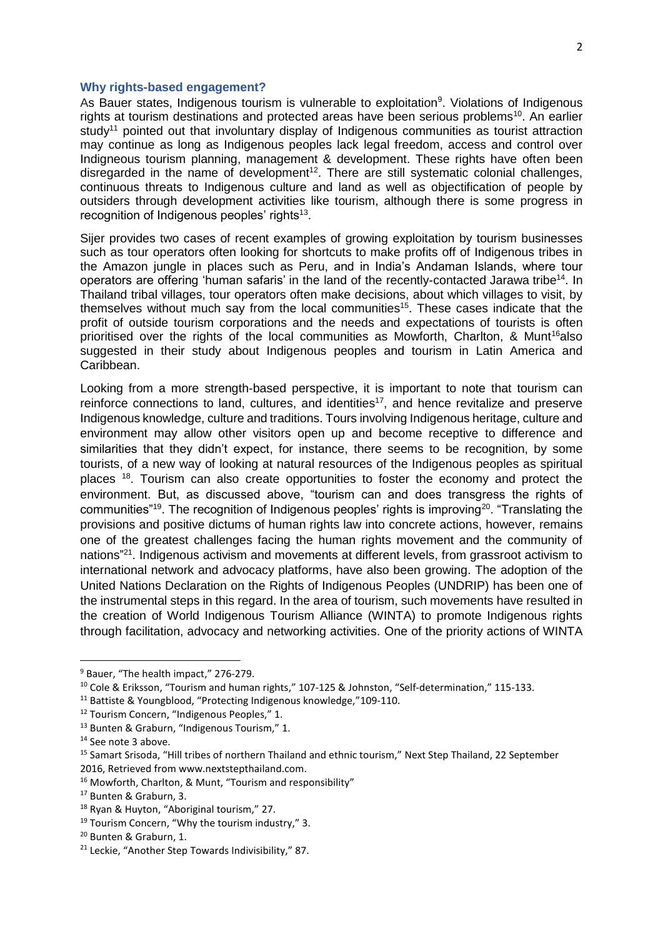#### **Why rights-based engagement?**

As Bauer states, Indigenous tourism is vulnerable to exploitation<sup>9</sup>. Violations of Indigenous rights at tourism destinations and protected areas have been serious problems<sup>10</sup>. An earlier study<sup>11</sup> pointed out that involuntary display of Indigenous communities as tourist attraction may continue as long as Indigenous peoples lack legal freedom, access and control over Indigneous tourism planning, management & development. These rights have often been disregarded in the name of development<sup>12</sup>. There are still systematic colonial challenges, continuous threats to Indigenous culture and land as well as objectification of people by outsiders through development activities like tourism, although there is some progress in recognition of Indigenous peoples' rights<sup>13</sup>.

Sijer provides two cases of recent examples of growing exploitation by tourism businesses such as tour operators often looking for shortcuts to make profits off of Indigenous tribes in the Amazon jungle in places such as Peru, and in India's Andaman Islands, where tour operators are offering 'human safaris' in the land of the recently-contacted [Jarawa](https://www.survivalinternational.org/tribes/jarawa) tribe<sup>14</sup>. In Thailand tribal villages, tour operators often make decisions, about which villages to visit, by themselves without much say from the local communities<sup>15</sup>. These cases indicate that the profit of outside tourism corporations and the needs and expectations of tourists is often prioritised over the rights of the local communities as Mowforth, Charlton, & Munt<sup>16</sup>also suggested in their study about Indigenous peoples and tourism in Latin America and Caribbean.

Looking from a more strength-based perspective, it is important to note that tourism can reinforce connections to land, cultures, and identities<sup>17</sup>, and hence revitalize and preserve Indigenous knowledge, culture and traditions. Tours involving Indigenous heritage, culture and environment may allow other visitors open up and become receptive to difference and similarities that they didn't expect, for instance, there seems to be recognition, by some tourists, of a new way of looking at natural resources of the Indigenous peoples as spiritual places <sup>18</sup>. Tourism can also create opportunities to foster the economy and protect the environment. But, as discussed above, "tourism can and does transgress the rights of communities"<sup>19</sup>. The recognition of Indigenous peoples' rights is improving<sup>20</sup>. "Translating the provisions and positive dictums of human rights law into concrete actions, however, remains one of the greatest challenges facing the human rights movement and the community of nations"<sup>21</sup>. Indigenous activism and movements at different levels, from grassroot activism to international network and advocacy platforms, have also been growing. The adoption of the United Nations Declaration on the Rights of Indigenous Peoples (UNDRIP) has been one of the instrumental steps in this regard. In the area of tourism, such movements have resulted in the creation of World Indigenous Tourism Alliance (WINTA) to promote Indigenous rights through facilitation, advocacy and networking activities. One of the priority actions of WINTA

**.** 

<sup>&</sup>lt;sup>9</sup> Bauer, "The health impact," 276-279.

<sup>&</sup>lt;sup>10</sup> Cole & Eriksson, "Tourism and human rights," 107-125 & Johnston, "Self-determination," 115-133.

<sup>&</sup>lt;sup>11</sup> Battiste & Youngblood, "Protecting Indigenous knowledge,"109-110.

<sup>&</sup>lt;sup>12</sup> Tourism Concern, "Indigenous Peoples," 1.

<sup>13</sup> Bunten & Graburn, "Indigenous Tourism," 1.

<sup>14</sup> See note 3 above.

<sup>15</sup> Samart Srisoda, "Hill tribes of northern Thailand and ethnic tourism," Next Step Thailand, 22 September 2016, Retrieved fro[m www.nextstepthailand.com.](http://www.nextstepthailand.com/)

<sup>16</sup> Mowforth, Charlton, & Munt, "Tourism and responsibility"

<sup>17</sup> Bunten & Graburn, 3.

<sup>&</sup>lt;sup>18</sup> Ryan & Huyton, "Aboriginal tourism," 27.

<sup>&</sup>lt;sup>19</sup> Tourism Concern, "Why the tourism industry," 3.

<sup>20</sup> Bunten & Graburn, 1.

<sup>&</sup>lt;sup>21</sup> Leckie, "Another Step Towards Indivisibility," 87.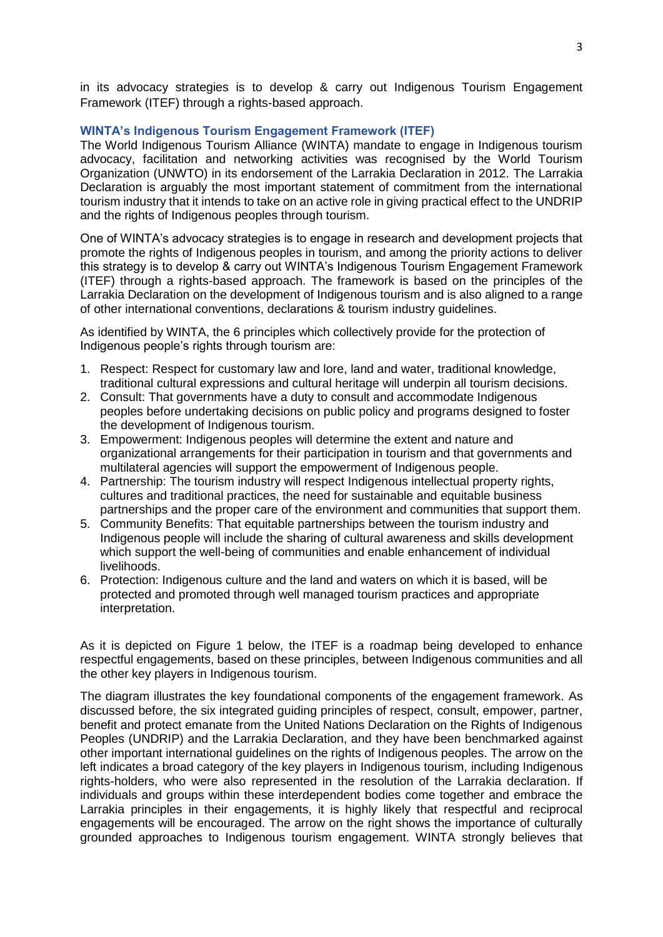in its advocacy strategies is to develop & carry out Indigenous Tourism Engagement Framework (ITEF) through a rights-based approach.

## **WINTA's Indigenous Tourism Engagement Framework (ITEF)**

The World Indigenous Tourism Alliance (WINTA) mandate to engage in Indigenous tourism advocacy, facilitation and networking activities was recognised by the World Tourism Organization (UNWTO) in its endorsement of the Larrakia Declaration in 2012. The Larrakia Declaration is arguably the most important statement of commitment from the international tourism industry that it intends to take on an active role in giving practical effect to the UNDRIP and the rights of Indigenous peoples through tourism.

One of WINTA's advocacy strategies is to engage in research and development projects that promote the rights of Indigenous peoples in tourism, and among the priority actions to deliver this strategy is to develop & carry out WINTA's Indigenous Tourism Engagement Framework (ITEF) through a rights-based approach. The framework is based on the principles of the Larrakia Declaration on the development of Indigenous tourism and is also aligned to a range of other international conventions, declarations & tourism industry guidelines.

As identified by WINTA, the 6 principles which collectively provide for the protection of Indigenous people's rights through tourism are:

- 1. Respect: Respect for customary law and lore, land and water, traditional knowledge, traditional cultural expressions and cultural heritage will underpin all tourism decisions.
- 2. Consult: That governments have a duty to consult and accommodate Indigenous peoples before undertaking decisions on public policy and programs designed to foster the development of Indigenous tourism.
- 3. Empowerment: Indigenous peoples will determine the extent and nature and organizational arrangements for their participation in tourism and that governments and multilateral agencies will support the empowerment of Indigenous people.
- 4. Partnership: The tourism industry will respect Indigenous intellectual property rights, cultures and traditional practices, the need for sustainable and equitable business partnerships and the proper care of the environment and communities that support them.
- 5. Community Benefits: That equitable partnerships between the tourism industry and Indigenous people will include the sharing of cultural awareness and skills development which support the well-being of communities and enable enhancement of individual livelihoods.
- 6. Protection: Indigenous culture and the land and waters on which it is based, will be protected and promoted through well managed tourism practices and appropriate interpretation.

As it is depicted on Figure 1 below, the ITEF is a roadmap being developed to enhance respectful engagements, based on these principles, between Indigenous communities and all the other key players in Indigenous tourism.

The diagram illustrates the key foundational components of the engagement framework. As discussed before, the six integrated guiding principles of respect, consult, empower, partner, benefit and protect emanate from the United Nations Declaration on the Rights of Indigenous Peoples (UNDRIP) and the Larrakia Declaration, and they have been benchmarked against other important international guidelines on the rights of Indigenous peoples. The arrow on the left indicates a broad category of the key players in Indigenous tourism, including Indigenous rights-holders, who were also represented in the resolution of the Larrakia declaration. If individuals and groups within these interdependent bodies come together and embrace the Larrakia principles in their engagements, it is highly likely that respectful and reciprocal engagements will be encouraged. The arrow on the right shows the importance of culturally grounded approaches to Indigenous tourism engagement. WINTA strongly believes that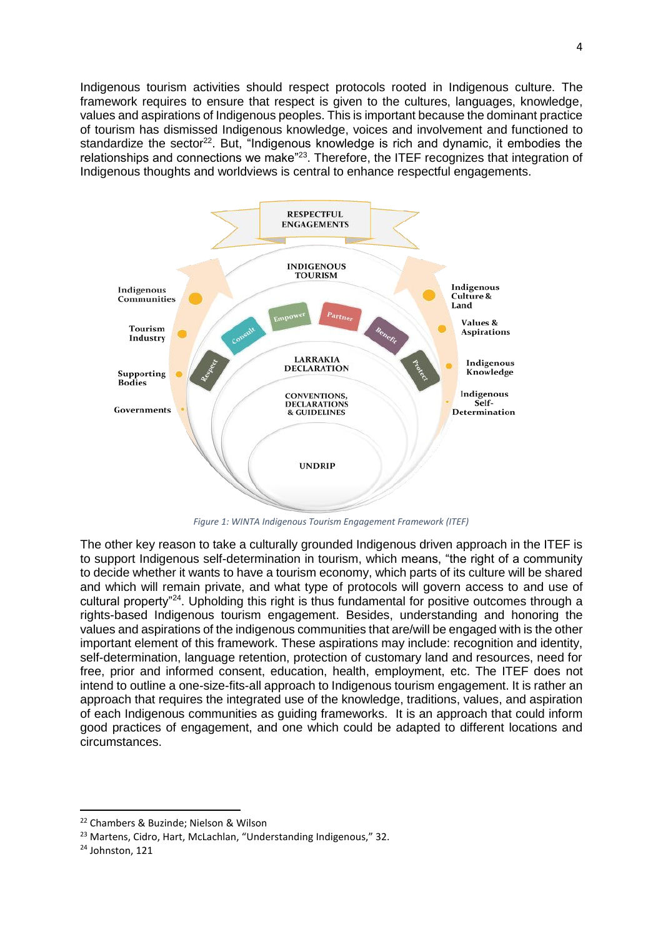Indigenous tourism activities should respect protocols rooted in Indigenous culture. The framework requires to ensure that respect is given to the cultures, languages, knowledge, values and aspirations of Indigenous peoples. This is important because the dominant practice of tourism has dismissed Indigenous knowledge, voices and involvement and functioned to standardize the sector<sup>22</sup>. But, "Indigenous knowledge is rich and dynamic, it embodies the relationships and connections we make<sup>"23</sup>. Therefore, the ITEF recognizes that integration of Indigenous thoughts and worldviews is central to enhance respectful engagements.



*Figure 1: WINTA Indigenous Tourism Engagement Framework (ITEF)*

The other key reason to take a culturally grounded Indigenous driven approach in the ITEF is to support Indigenous self-determination in tourism, which means, "the right of a community to decide whether it wants to have a tourism economy, which parts of its culture will be shared and which will remain private, and what type of protocols will govern access to and use of cultural property"<sup>24</sup>. Upholding this right is thus fundamental for positive outcomes through a rights-based Indigenous tourism engagement. Besides, understanding and honoring the values and aspirations of the indigenous communities that are/will be engaged with is the other important element of this framework. These aspirations may include: recognition and identity, self-determination, language retention, protection of customary land and resources, need for free, prior and informed consent, education, health, employment, etc. The ITEF does not intend to outline a one-size-fits-all approach to Indigenous tourism engagement. It is rather an approach that requires the integrated use of the knowledge, traditions, values, and aspiration of each Indigenous communities as guiding frameworks. It is an approach that could inform good practices of engagement, and one which could be adapted to different locations and circumstances.

**.** 

<sup>22</sup> Chambers & Buzinde; Nielson & Wilson

<sup>&</sup>lt;sup>23</sup> Martens, Cidro, Hart, McLachlan, "Understanding Indigenous," 32.

<sup>24</sup> Johnston, 121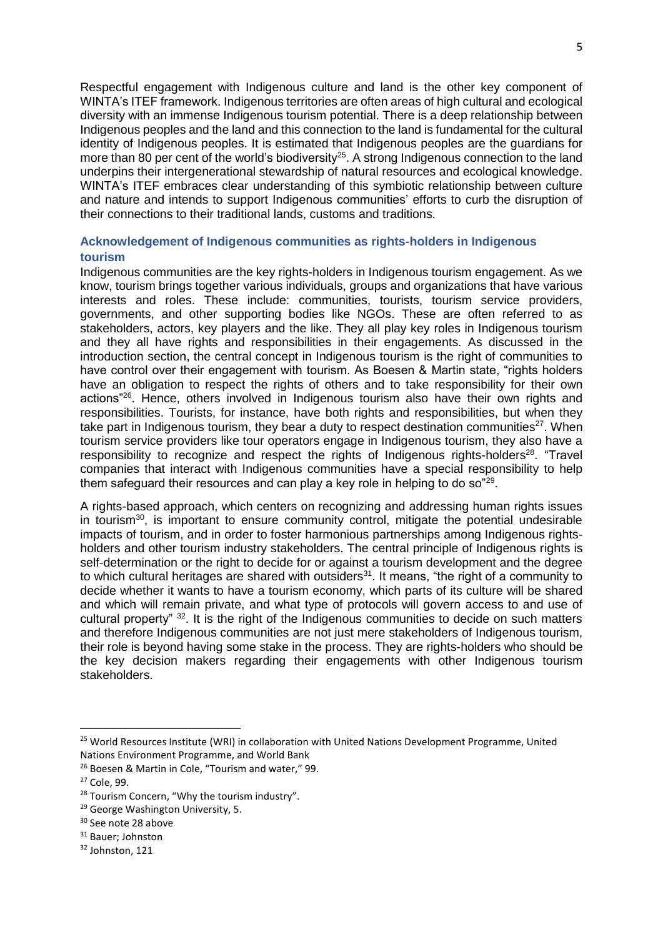Respectful engagement with Indigenous culture and land is the other key component of WINTA's ITEF framework. Indigenous territories are often areas of high cultural and ecological diversity with an immense Indigenous tourism potential. There is a deep relationship between Indigenous peoples and the land and this connection to the land is fundamental for the cultural identity of Indigenous peoples. It is estimated that Indigenous peoples are the guardians for more than 80 per cent of the world's biodiversity<sup>25</sup>. A strong Indigenous connection to the land underpins their intergenerational stewardship of natural resources and ecological knowledge. WINTA's ITEF embraces clear understanding of this symbiotic relationship between culture and nature and intends to support Indigenous communities' efforts to curb the disruption of their connections to their traditional lands, customs and traditions.

# **Acknowledgement of Indigenous communities as rights-holders in Indigenous tourism**

Indigenous communities are the key rights-holders in Indigenous tourism engagement. As we know, tourism brings together various individuals, groups and organizations that have various interests and roles. These include: communities, tourists, tourism service providers, governments, and other supporting bodies like NGOs. These are often referred to as stakeholders, actors, key players and the like. They all play key roles in Indigenous tourism and they all have rights and responsibilities in their engagements. As discussed in the introduction section, the central concept in Indigenous tourism is the right of communities to have control over their engagement with tourism. As Boesen & Martin state, "rights holders have an obligation to respect the rights of others and to take responsibility for their own actions"<sup>26</sup>. Hence, others involved in Indigenous tourism also have their own rights and responsibilities. Tourists, for instance, have both rights and responsibilities, but when they take part in Indigenous tourism, they bear a duty to respect destination communities $^{27}$ . When tourism service providers like tour operators engage in Indigenous tourism, they also have a responsibility to recognize and respect the rights of Indigenous rights-holders<sup>28</sup>. "Travel companies that interact with Indigenous communities have a special responsibility to help them safeguard their resources and can play a key role in helping to do so"<sup>29</sup>.

A rights-based approach, which centers on recognizing and addressing human rights issues in tourism $30$ , is important to ensure community control, mitigate the potential undesirable impacts of tourism, and in order to foster harmonious partnerships among Indigenous rightsholders and other tourism industry stakeholders. The central principle of Indigenous rights is self-determination or the right to decide for or against a tourism development and the degree to which cultural heritages are shared with outsiders<sup>31</sup>. It means, "the right of a community to decide whether it wants to have a tourism economy, which parts of its culture will be shared and which will remain private, and what type of protocols will govern access to and use of cultural property" <sup>32</sup>. It is the right of the Indigenous communities to decide on such matters and therefore Indigenous communities are not just mere stakeholders of Indigenous tourism, their role is beyond having some stake in the process. They are rights-holders who should be the key decision makers regarding their engagements with other Indigenous tourism stakeholders.

1

<sup>&</sup>lt;sup>25</sup> World Resources Institute (WRI) in collaboration with United Nations Development Programme, United Nations Environment Programme, and World Bank

<sup>26</sup> Boesen & Martin in Cole, "Tourism and water," 99.

<sup>27</sup> Cole, 99.

<sup>&</sup>lt;sup>28</sup> Tourism Concern, "Why the tourism industry".

<sup>&</sup>lt;sup>29</sup> George Washington University, 5.

<sup>30</sup> See note 28 above

<sup>31</sup> Bauer; Johnston

<sup>32</sup> Johnston, 121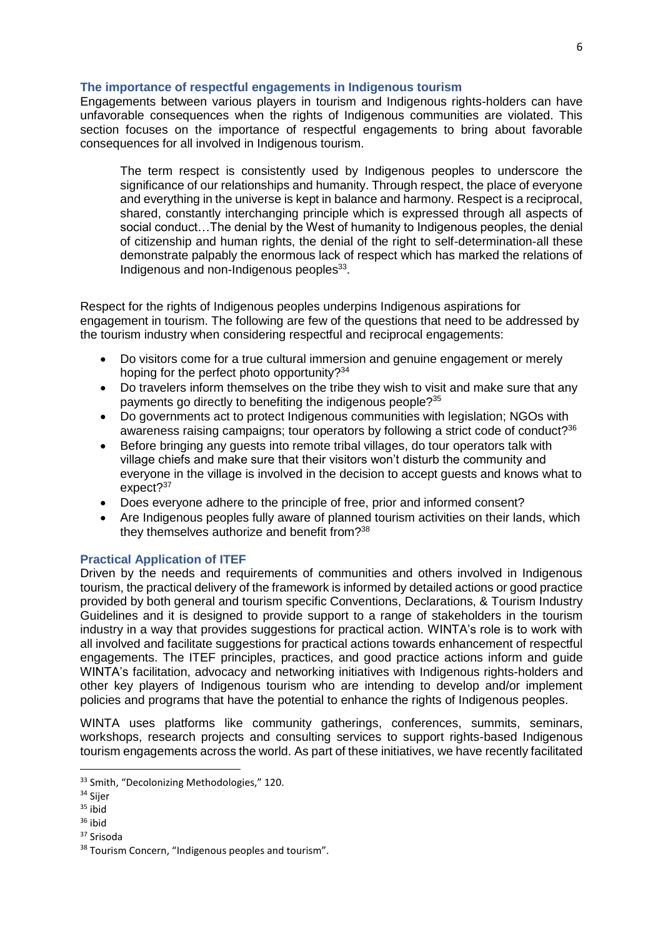## **The importance of respectful engagements in Indigenous tourism**

Engagements between various players in tourism and Indigenous rights-holders can have unfavorable consequences when the rights of Indigenous communities are violated. This section focuses on the importance of respectful engagements to bring about favorable consequences for all involved in Indigenous tourism.

The term respect is consistently used by Indigenous peoples to underscore the significance of our relationships and humanity. Through respect, the place of everyone and everything in the universe is kept in balance and harmony. Respect is a reciprocal, shared, constantly interchanging principle which is expressed through all aspects of social conduct…The denial by the West of humanity to Indigenous peoples, the denial of citizenship and human rights, the denial of the right to self-determination-all these demonstrate palpably the enormous lack of respect which has marked the relations of Indigenous and non-Indigenous peoples<sup>33</sup>.

Respect for the rights of Indigenous peoples underpins Indigenous aspirations for engagement in tourism. The following are few of the questions that need to be addressed by the tourism industry when considering respectful and reciprocal engagements:

- Do visitors come for a true cultural immersion and genuine engagement or merely hoping for the perfect photo opportunity?<sup>34</sup>
- Do travelers inform themselves on the tribe they wish to visit and make sure that any payments go directly to benefiting the indigenous people?<sup>35</sup>
- Do governments act to protect Indigenous communities with legislation; NGOs with awareness raising campaigns; tour operators by following a strict code of conduct?<sup>36</sup>
- Before bringing any guests into remote tribal villages, do tour operators talk with village chiefs and make sure that their visitors won't disturb the community and everyone in the village is involved in the decision to accept guests and knows what to expect?<sup>37</sup>
- Does everyone adhere to the principle of free, prior and informed consent?
- Are Indigenous peoples fully aware of planned tourism activities on their lands, which they themselves authorize and benefit from?<sup>38</sup>

# **Practical Application of ITEF**

Driven by the needs and requirements of communities and others involved in Indigenous tourism, the practical delivery of the framework is informed by detailed actions or good practice provided by both general and tourism specific Conventions, Declarations, & Tourism Industry Guidelines and it is designed to provide support to a range of stakeholders in the tourism industry in a way that provides suggestions for practical action. WINTA's role is to work with all involved and facilitate suggestions for practical actions towards enhancement of respectful engagements. The ITEF principles, practices, and good practice actions inform and guide WINTA's facilitation, advocacy and networking initiatives with Indigenous rights-holders and other key players of Indigenous tourism who are intending to develop and/or implement policies and programs that have the potential to enhance the rights of Indigenous peoples.

WINTA uses platforms like community gatherings, conferences, summits, seminars, workshops, research projects and consulting services to support rights-based Indigenous tourism engagements across the world. As part of these initiatives, we have recently facilitated

**.** 

<sup>33</sup> Smith, "Decolonizing Methodologies," 120.

<sup>&</sup>lt;sup>34</sup> Sijer

 $35$  ibid

<sup>36</sup> ibid

<sup>&</sup>lt;sup>37</sup> Srisoda

<sup>&</sup>lt;sup>38</sup> Tourism Concern, "Indigenous peoples and tourism".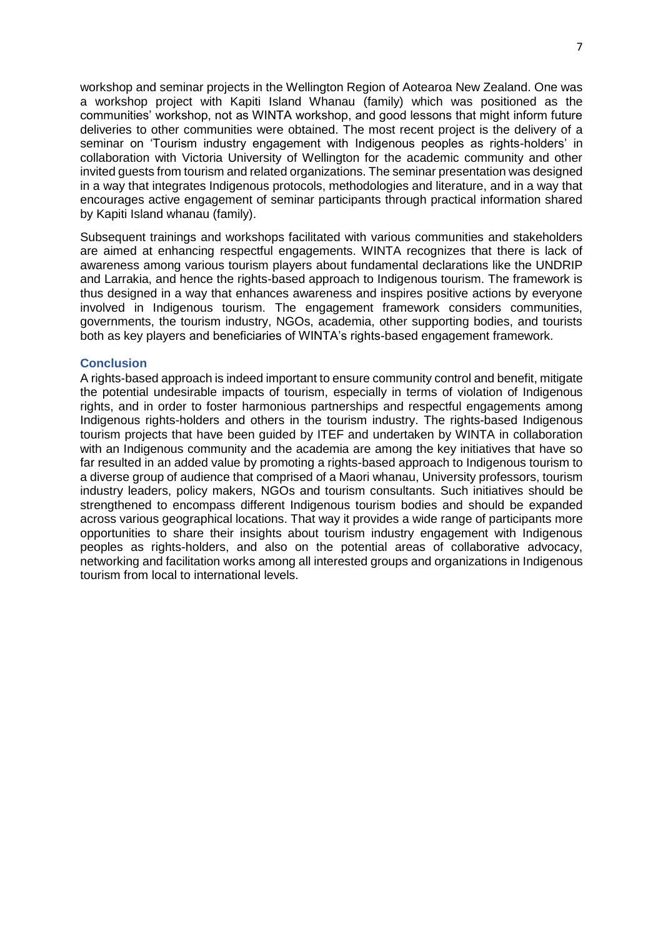workshop and seminar projects in the Wellington Region of Aotearoa New Zealand. One was a workshop project with Kapiti Island Whanau (family) which was positioned as the communities' workshop, not as WINTA workshop, and good lessons that might inform future deliveries to other communities were obtained. The most recent project is the delivery of a seminar on 'Tourism industry engagement with Indigenous peoples as rights-holders' in collaboration with Victoria University of Wellington for the academic community and other invited guests from tourism and related organizations. The seminar presentation was designed in a way that integrates Indigenous protocols, methodologies and literature, and in a way that encourages active engagement of seminar participants through practical information shared by Kapiti Island whanau (family).

Subsequent trainings and workshops facilitated with various communities and stakeholders are aimed at enhancing respectful engagements. WINTA recognizes that there is lack of awareness among various tourism players about fundamental declarations like the UNDRIP and Larrakia, and hence the rights-based approach to Indigenous tourism. The framework is thus designed in a way that enhances awareness and inspires positive actions by everyone involved in Indigenous tourism. The engagement framework considers communities, governments, the tourism industry, NGOs, academia, other supporting bodies, and tourists both as key players and beneficiaries of WINTA's rights-based engagement framework.

### **Conclusion**

A rights-based approach is indeed important to ensure community control and benefit, mitigate the potential undesirable impacts of tourism, especially in terms of violation of Indigenous rights, and in order to foster harmonious partnerships and respectful engagements among Indigenous rights-holders and others in the tourism industry. The rights-based Indigenous tourism projects that have been guided by ITEF and undertaken by WINTA in collaboration with an Indigenous community and the academia are among the key initiatives that have so far resulted in an added value by promoting a rights-based approach to Indigenous tourism to a diverse group of audience that comprised of a Maori whanau, University professors, tourism industry leaders, policy makers, NGOs and tourism consultants. Such initiatives should be strengthened to encompass different Indigenous tourism bodies and should be expanded across various geographical locations. That way it provides a wide range of participants more opportunities to share their insights about tourism industry engagement with Indigenous peoples as rights-holders, and also on the potential areas of collaborative advocacy, networking and facilitation works among all interested groups and organizations in Indigenous tourism from local to international levels.